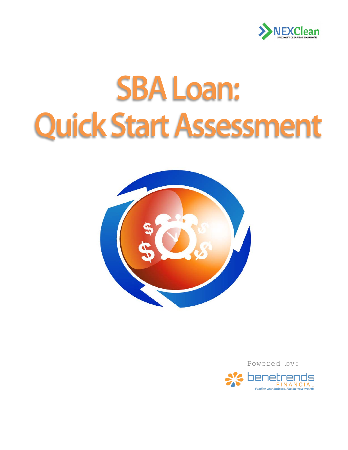

# **SBA Loan: Quick Start Assessment**



Powered by:

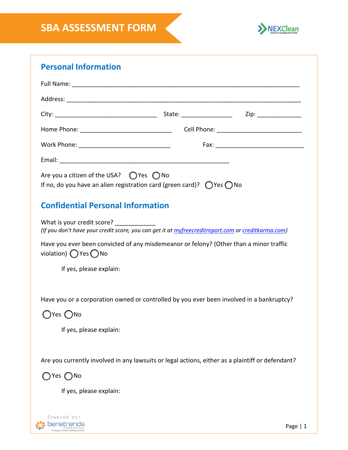

## **Personal Information** Full Name: \_\_\_\_\_\_\_\_\_\_\_\_\_\_\_\_\_\_\_\_\_\_\_\_\_\_\_\_\_\_\_\_\_\_\_\_\_\_\_\_\_\_\_\_\_\_\_\_\_\_\_\_\_\_\_\_\_\_\_\_\_\_\_\_\_\_\_ Address: \_\_\_\_\_\_\_\_\_\_\_\_\_\_\_\_\_\_\_\_\_\_\_\_\_\_\_\_\_\_\_\_\_\_\_\_\_\_\_\_\_\_\_\_\_\_\_\_\_\_\_\_\_\_\_\_\_\_\_\_\_\_\_\_\_\_\_\_\_ City: \_\_\_\_\_\_\_\_\_\_\_\_\_\_\_\_\_\_\_\_\_\_\_\_\_\_\_\_\_\_ State: \_\_\_\_\_\_\_\_\_\_\_\_\_\_\_ Zip: \_\_\_\_\_\_\_\_\_\_\_\_\_ Home Phone: The contract of the Cell Phone:  $\mathsf{Cell}\ \mathsf{Phone}$ : Work Phone: \_\_\_\_\_\_\_\_\_\_\_\_\_\_\_\_\_\_\_\_\_\_\_\_\_\_\_ Fax: \_\_\_\_\_\_\_\_\_\_\_\_\_\_\_\_\_\_\_\_\_\_\_\_\_\_ Email:  $\blacksquare$ Are you a citizen of the USA?  $\bigcirc$  Yes  $\bigcirc$  No If no, do you have an alien registration card (green card)?  $\bigcirc$  Yes  $\bigcirc$  No **Confidential Personal Information** What is your credit score? *(If you don't have your credit score, you can get it at [myfreecreditreport.com](http://www.myfreecreditreport.com/) o[r creditkarma.com\)](http://www.creditkarma.com/)*  Have you ever been convicted of any misdemeanor or felony? (Other than a minor traffic violation)  $\bigcap$  Yes  $\bigcap$  No If yes, please explain: Have you or a corporation owned or controlled by you ever been involved in a bankruptcy?  $\bigcap$ Yes  $\bigcap$ No

If yes, please explain:

Are you currently involved in any lawsuits or legal actions, either as a plaintiff or defendant?

OYes ∩No

If yes, please explain:

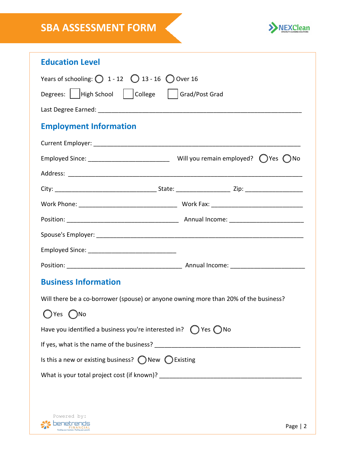

| <b>Education Level</b>                                                               |           |
|--------------------------------------------------------------------------------------|-----------|
| Years of schooling: $\bigcirc$ 1 - 12 $\bigcirc$ 13 - 16 $\bigcirc$ Over 16          |           |
| Degrees:   High School   College   Grad/Post Grad                                    |           |
|                                                                                      |           |
| <b>Employment Information</b>                                                        |           |
|                                                                                      |           |
|                                                                                      |           |
|                                                                                      |           |
|                                                                                      |           |
|                                                                                      |           |
|                                                                                      |           |
|                                                                                      |           |
|                                                                                      |           |
|                                                                                      |           |
| <b>Business Information</b>                                                          |           |
| Will there be a co-borrower (spouse) or anyone owning more than 20% of the business? |           |
| Yes                                                                                  |           |
| Have you identified a business you're interested in? $\bigcirc$ Yes $\bigcirc$ No    |           |
|                                                                                      |           |
| Is this a new or existing business? $\bigcirc$ New $\bigcirc$ Existing               |           |
|                                                                                      |           |
|                                                                                      |           |
|                                                                                      |           |
| Powered by:<br>enetrent                                                              | Page $ 2$ |
|                                                                                      |           |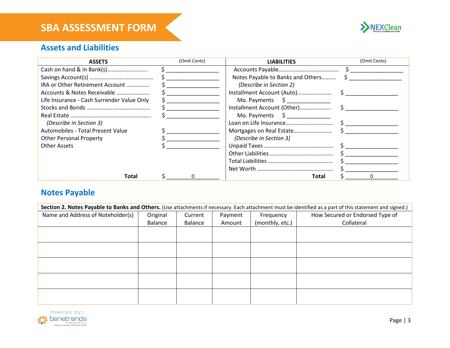

#### **Assets and Liabilities**

| <b>ASSETS</b>                              | (Omit Cents) | <b>LIABILITIES</b>                                          | (Omit Cents) |
|--------------------------------------------|--------------|-------------------------------------------------------------|--------------|
| Cash on hand & in Bank(s)                  |              |                                                             |              |
|                                            |              | Notes Payable to Banks and Others                           |              |
| IRA or Other Retirement Account            |              | (Describe in Section 2)                                     |              |
| Accounts & Notes Receivable                |              | Installment Account (Auto)                                  |              |
| Life Insurance - Cash Surrender Value Only |              | Mo. Payments $\begin{bmatrix} 5 & \text{---} \end{bmatrix}$ |              |
|                                            |              | Installment Account (Other)                                 |              |
|                                            |              | Mo. Payments $\begin{bmatrix} 5 \end{bmatrix}$              |              |
| (Describe in Section 3)                    |              |                                                             |              |
| Automobiles - Total Present Value          |              |                                                             |              |
| <b>Other Personal Property</b>             |              | (Describe in Section 3)                                     |              |
| Other Assets                               |              |                                                             |              |
|                                            |              |                                                             |              |
|                                            |              |                                                             |              |
|                                            |              |                                                             |              |
| Total                                      |              | Total                                                       |              |

#### **Notes Payable**

| Section 2. Notes Payable to Banks and Others. (Use attachments if necessary. Each attachment must be identified as a part of this statement and signed.) |          |         |         |                 |                                 |
|----------------------------------------------------------------------------------------------------------------------------------------------------------|----------|---------|---------|-----------------|---------------------------------|
| Name and Address of Noteholder(s)                                                                                                                        | Original | Current | Payment | Frequency       | How Secured or Endorsed Type of |
|                                                                                                                                                          | Balance  | Balance | Amount  | (monthly, etc.) | Collateral                      |
|                                                                                                                                                          |          |         |         |                 |                                 |
|                                                                                                                                                          |          |         |         |                 |                                 |
|                                                                                                                                                          |          |         |         |                 |                                 |
|                                                                                                                                                          |          |         |         |                 |                                 |
|                                                                                                                                                          |          |         |         |                 |                                 |
|                                                                                                                                                          |          |         |         |                 |                                 |
|                                                                                                                                                          |          |         |         |                 |                                 |
|                                                                                                                                                          |          |         |         |                 |                                 |
|                                                                                                                                                          |          |         |         |                 |                                 |
|                                                                                                                                                          |          |         |         |                 |                                 |